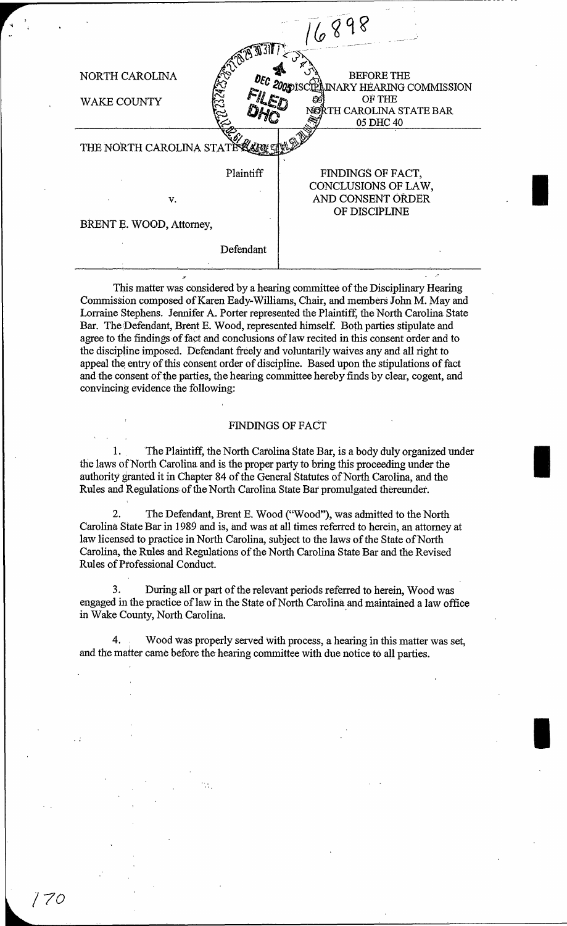| 1324232<br>NORTH CAROLINA<br>DEC<br>WAKE COUNTY | <b>BEFORE THE</b><br><b>2005</b> 15<br><b>INARY HEARING COMMISSION</b><br>OF THE<br>NORTH CAROLINA STATE BAR<br>05 DHC 40 |
|-------------------------------------------------|---------------------------------------------------------------------------------------------------------------------------|
| THE NORTH CAROLINA STATE A                      |                                                                                                                           |
| Plaintiff<br>v.<br>BRENT E. WOOD, Attorney,     | FINDINGS OF FACT,<br>CONCLUSIONS OF LAW,<br>AND CONSENT ORDER<br>OF DISCIPLINE                                            |
| Defendant                                       |                                                                                                                           |

This matter was considered by a hearing committee of the Disciplinary Hearing Commission composed of Karen Eady-Williams, Chair, and members John M. May and Lorraine Stephens. Jennifer A. Porter represented the Plaintiff, the North Carolina State Bar. The Defendant, Brent E. Wood, represented himself. Both parties stipulate and agree to the findings of fact and conclusions of law recited in this consent order and to the discipline imposed. Defendant freely and voluntarily waives any and all right to appeal the entry of this consent order of discipline. Based upon the stipulations of fact and the consent of the parties, the hearing committee hereby finds by clear, cogent, and convincing evidence the following:

".

I

I

I

## FINDINGS OF FACT

1. The Plaintiff, the North Carolina State Bar, is a body duly organized under the laws of North Carolina and is the proper party to bring this proceeding under the authority granted it in Chapter 84 of the General Statutes of North Carolina, and the Rules and Regulations. of the North Carolina State Bar promulgated thereundet.

2. The Defendant, Brent E. Wood ("Wood"), was admitted to the North Carolina. State Bar in 1989 and is, and was at all times referred to herein, an attorney at law licensed to practice in North Carolina, subject to the laws of the State of North Carolina, the Rules and Regulations of the North Carolina State Bar and the Revised Rules of Professional Conduct.

3. During all or part of the relevant periods referred to herein, Wood was engaged in the practice of law in the State of North Carolina and maintained a law office in Wake County, North Carolina.

4. Wood was properly served with process, a hearing in this matter was set, and the matter came before the hearing committee with due notice to all parties.

*/70*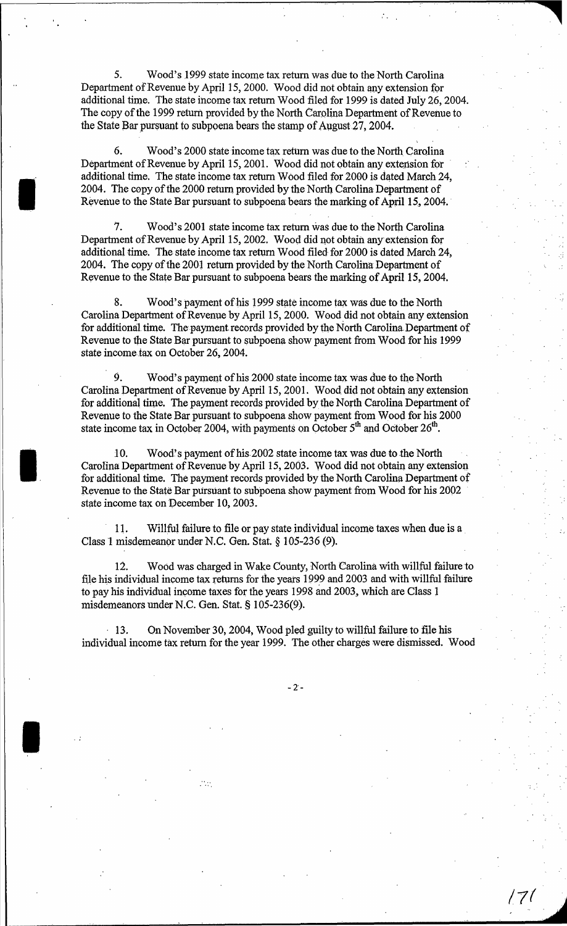S. Wood's 1999 state income tax return was due to the North Carolina Department of Revenue by April 15, 2000. Wood did not obtain any extension for additional time. The state income tax return Wood filed for 1999 is dated July 26, 2004. The copy of the 1999 return provided by the North Carolina Department of Revenue to the State Bar pursuant to subpoena bears the stamp of August 27, 2004.

6. Wood's 2000 state income tax return was due to the North Carolina Department of Revenue by April IS, 2001. Wood did not obtain any extension for· additional time. The state income tax return Wood filed for 2000 is dated March 24, 2004. The copy of the 2000 return provided by the North. Carolina Department of Revenue to the State Bar pursuant to subpoena bears the marking of April 15, 2004.

I

I

I

7. Wood's 2001 state income tax return was due to the North Carolina Department of Revenue by April IS, 2002. Wood did not obtain any-extension for additional time. The state income tax return Wood filed for 2000 is dated March 24, 2004. The copy of the 2001 return provided by the North Carolina Department of Revenue to the State Bar pursuant to subpoena bears the marking of April 15, 2004.

8. Wood's payment of his 1999 state income tax was due to the North Carolina Department of Revenue by April 15, 2000. Wood did not obtain any extension for additional time. The payment records provided by the North Carolina Department of Revenue to the State Bar pursuant to subpoena show payment from Wood for his 1999 state income tax on October 26, 2004.

9. Wood's payment of his 2000 state income tax was due to the North Carolina Department of Revenue by April 15, 2001. Wood did not obtain any extension for additional time. The payment records provided by the North Carolina Department of Revenue to the State Bar pursuant to subpoena show payment from Wood for his 2000 state income tax in October 2004, with payments on October  $5<sup>th</sup>$  and October  $26<sup>th</sup>$ .

10. Wood's payment of his 2002 state income tax was due to the North Carolina Department of Revenue by April 15, 2003. Wood did not obtain any extension for additional time. The payment records provided by the North Carolina Department of Revenue to the State Bar pursuant to suhpoena show payment from Wood for his 2002 . state income tax on December 10, 2003.

11. Willful failure to file or pay state individual income taxes when due is a Class 1 misdemeanor under N.C. Gen. Stat. § 105-236 (9).

12. Wood was charged in Wake County, North Carolina with willful failure to file his individual income tax returns for the years 1999 and 2003 and with willful failure to pay his individual income taxes for the years 1998 and 2003, which are Class 1 misdemeanors under N.C. Gen. Stat. § 105-236(9).

'13. On November 30,2004, Wood pled guilty to willful failure to file his individual income tax return for the year 1999. The other charges were dismissed. Wood

 $\mathcal{C}_{\mathcal{A}}$ 

 $-2$  -

*17(*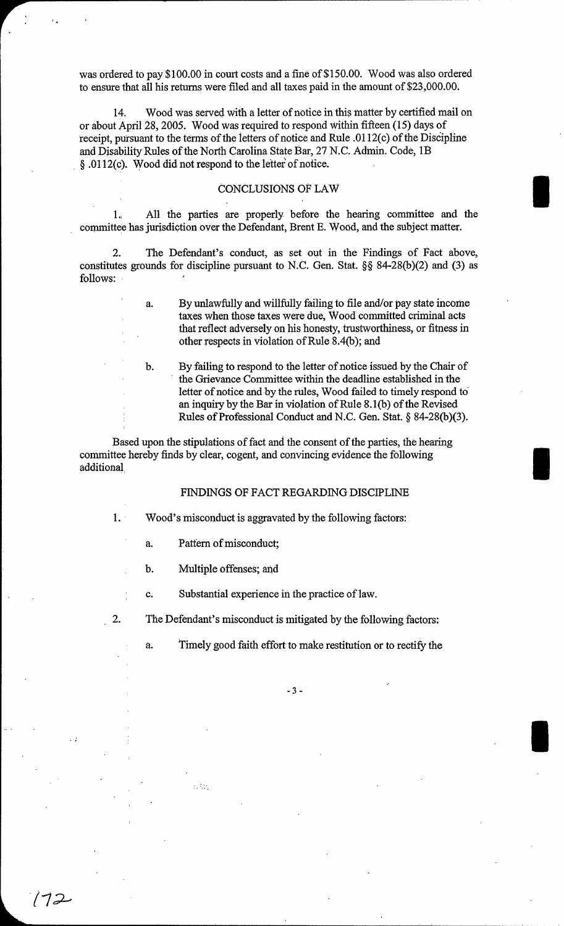was ordered to pay \$100.00 in court costs and a fine of \$150.00. Wood was also ordered to ensure that all his returns were filed and all taxes paid in the amount of \$23,000.00.

14. Wood was served with a letter of notice in this matter by certified mail on or about April 28, 2005. Wood Was required to respond within fifteen (15) days of receipt, pursuant to the terms of the letters of notice and Rule .0112(c) of the Discipline and Disability Rules of the North Carolina State Bar, 27 N.C. Admin. Code, IB , § .0112(c). Wood did not respond to the letter of notice.

## CONCLUSIONS OF LAW

1. All the parties are properly before the hearing committee and the committee has jurisdiction over the Defendant, Brent E. Wood, and the subject matter.

2. The Defendant's conduct, as set out in the Findings of Fact above, constitutes grounds for discipline pursuant to N.C. Gen. Stat. §§ 84-28(b)(2) and (3) as follows:

> a. By unlawfully and willfully failing to file and/or pay state income taxes when those taxes were due, Wood committed criminal acts that reflect adversely on his honesty, trustworthiness, or fitness in other respects in violation of Rule 8A(b); and

I

I

I

b. By failing to respond to the letter of notice issued by the Chair of , the Grievance Committee within the deadline established in the letter of notice and by the rules, Wood failed to timely respond to' an inquiry by the Bar in violation of Rule  $8.1(b)$  of the Revised Rules of Professional Conduct and N.C. Gen. Stat. § 84-28(b)(3).

Based upon the stipulations of fact and the consent of the parties, the hearing committee hereby finds by clear, cogent, and convincing evidence the following additional

## FINDINGS OF FACT REGARDING DISCIPLINE

1. Wood's misconduct is aggravated by the following factors:

- a. Pattern of misconduct;
- b. Multiple offenses; and

. : ..

 $172$ 

c. Substantial experience in the practice of law.

2. The Defendant's misconduct is mitigated by the following factors:

a. Timely good faith effort to make restitution or to rectify the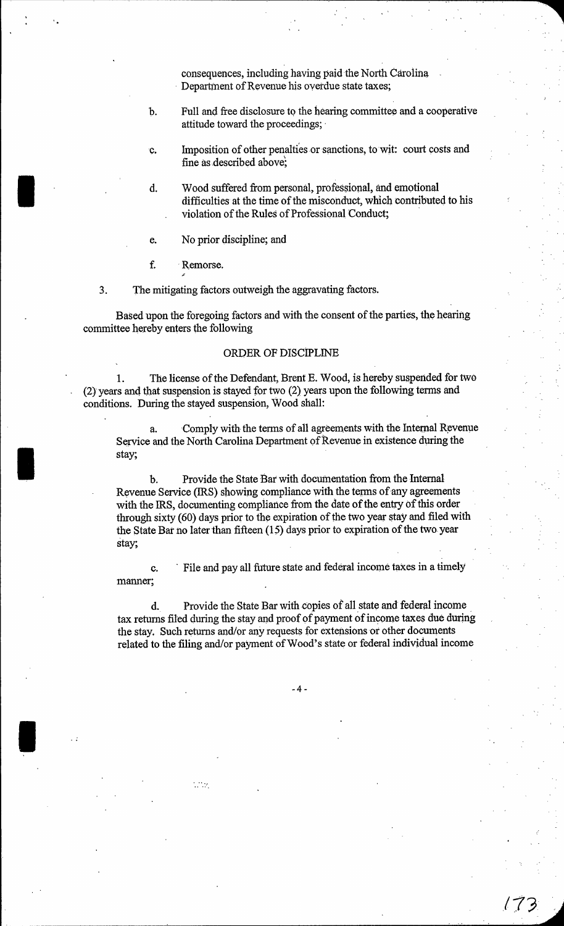consequences, including having paid the North Carolina . Departinent of Revenue his overdue state taxes;

- b. Full and free disclosure to the hearing committee and a cooperative attitude toward the proceedings;
- c. Imposition of other penalties or sanctions, to wit: court costs and fine as described above;
- d. Wood suffered from personal, professional, and emotional difficulties at the time of the misconduct, which contributed to his violation of the Rules of Professional Conduct; .
- e. No prior discipline; and
- f. . Remorse.

 $\mathbb{R}^2$ 

I

I

I

3. The mitigating factors outweigh the aggravating factors.

Based upon the foregoing factors and with the consent of the parties, the hearing committee hereby enters the following

## ORDER OF DISCIPLINE

1. The license of the Defendant, Brent E. Wood, is hereby suspended for two (2) years and that suspension is stayed for two (2) years upon the following terms and conditions. During the stayed suspension, Wood shall:

Comply with the terms of all agreements with the Internal Revenue Service and the North Carolina Department of Revenue in existence during the stay;

b. Provide the State *Bat* with documentation from the Internal Revenue Service (IRS) showing compliance with the terms of any agreements with the IRS, documenting compliance from the date of the entry of this order through sixty (60) days prior to the expiration of the two year stay and filed with the State Bar no later than fifteen  $(15)$  days prior to expiration of the two year stay;

c. . File and pay all future state and federal income taxes in a timely manner;

d. Provide the State Bar with copies of all state and federal income tax returns filed during the stay and proof of payment of income taxes due during the stay. Such returns and/or any requests for extensions or other documents related to the filing and/or payment of Wood's state or federal individual income

173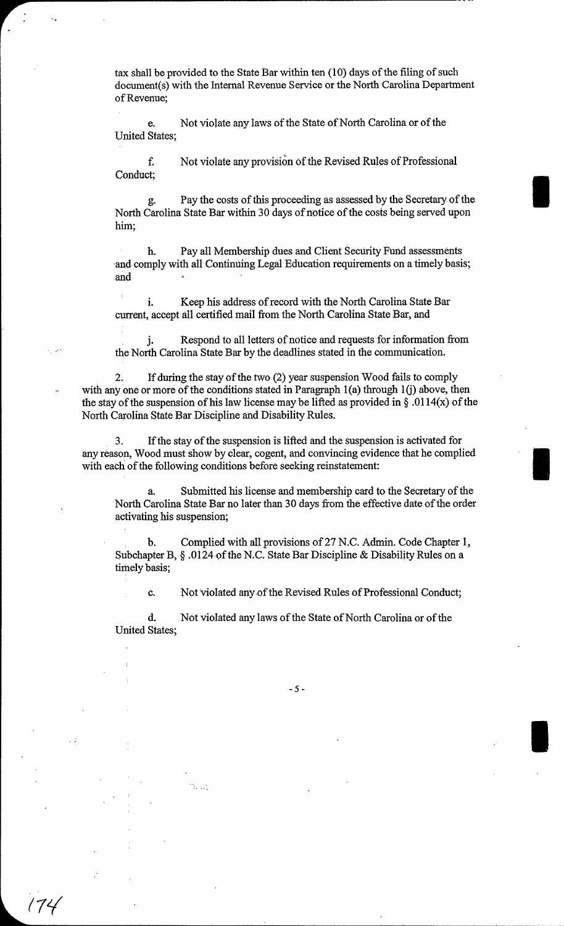tax shall be provided to the State Bat within ten (10) days of the filing of such document(s) with the Internal Revenue Service or the North Carolina Department of Revenue;

e. Not violate any laws of the State of North Carolina or of the United States;

f. Not violate any provision of the Revised Rules of Professional Conduct;

g. Pay the costs of this proceeding as assessed by the Secretary of the North Carolina State Bar within 30 days of notice of the costs being served upon him;

I

I

I

h. Pay all Membership dues and Client Security Fund assessments and comply with all Continuing Legal Education requirements on a timely basis; and

i. Keep his address of record with the North Carolina State Bar current, accept all certified mail from the North Carolina State Bar, and

j. Respond to all letters of notice and requests for information from the North Carolina State Bar by the deadlines stated in the communication.

2. If during the stay of the two (2) year suspension Wood fails to comply with any one or more of the conditions stated in Paragraph  $1(a)$  through  $1(j)$  above, then the stay of the suspension of his law license may be lifted as provided in  $\S$ .0114(x) of the North Carolina State Bar Discipline and Disability Rules.

3. If the stay of the suspension is lifted and the suspension is activated for any reason, Wood must show by clear, cogent, and convincing evidence that he complied with each of the following conditions before seeking reinstatement:

Submitted his license and membership card to the Secretary of the North Carolina State Bar no later than 30 days from the effective date of the order activating his suspension;

b. Complied with all provisions of 27 N.C. Admin. Code Chapter 1, Subchapter B, § .0124 of the N.C. State Bar Discipline & Disability Rules on a timely basis;

c. Not violated any of the Revised Rules of Professional Conduct;

d. Not violated any laws of the State of North Carolina or of the United States;

(7t.(

-5-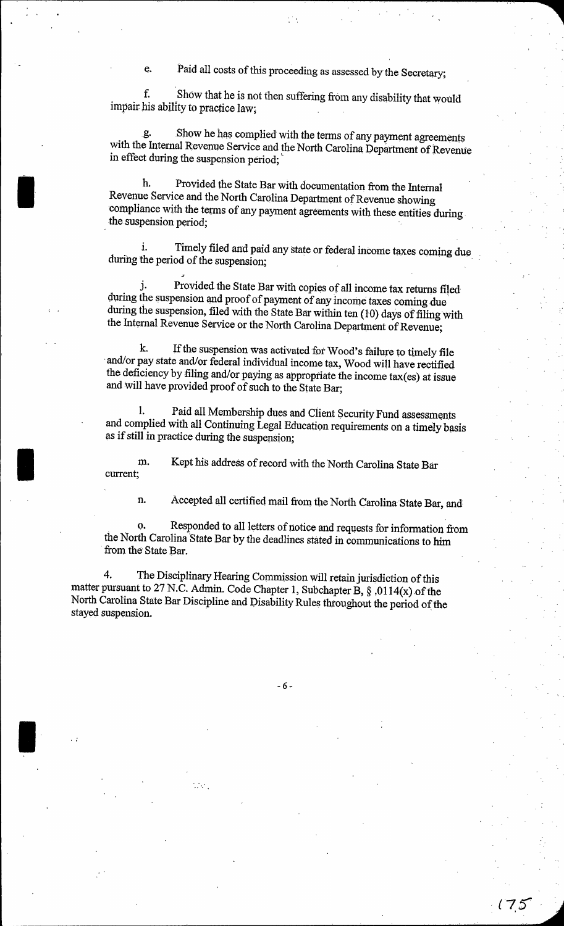e. Paid all costs of this proceeding as assessed by the Secretary;

f. Show that he is not then suffering from any disability that would impair his ability to practice law;

g. Show he has complied with the terms of any payment agreements with the Internal Revenue Service and the North Carolina Department of Revenue in effect during the suspension period; \

h. Provided the State Bar with documentation from the Internal Revenue Service and the North Carolina Department of Revenue showing compliance with the terms of any payment agreements with these entities during. the suspension period;

I

I

I

Timely filed and paid any state or federal income taxes coming due during the period of the suspension;

j. Provided the State Bar with copies of all income tax returns filed during the suspension and proof of payment of any income taxes coming due during the suspension, filed with the State Bar within ten (10) days of filing with the Internal Revenue Service or the North Carolina Department of Revenue;

k. If the suspension Was activated fot Wood's failure to timely file and/or pay state and/or federal individual income tax, Wood will have rectified the deficiency by filing and/or paying as appropriate the income tax(es) at issue and will have provided proof of such to the State Bar;

1. Paid all Membership dues and Client Security Fund assessments and complied with all Continuing Legal Education requirements on a timely basis as if still in practice during the suspension;

m. current; Kept his address of record with the North Carolina State Bar

n. Accepted all certified mail from the North Carolina State Bar, and

o. Responded to all letters of notice and requests for information from the North Carolina State Bar by the deadlines stated in communications to him from the' State Bar.

4. The Disciplinary Hearing Commission will retain jurisdiction of this matter pursuant to 27 N.C. Admin. Code Chapter 1, Subchapter B,  $\S$ , 0114(x) of the North Carolina State Bar Discipline and Disability Rules throughout the period of the stayed suspension.

-6-

 $(75$